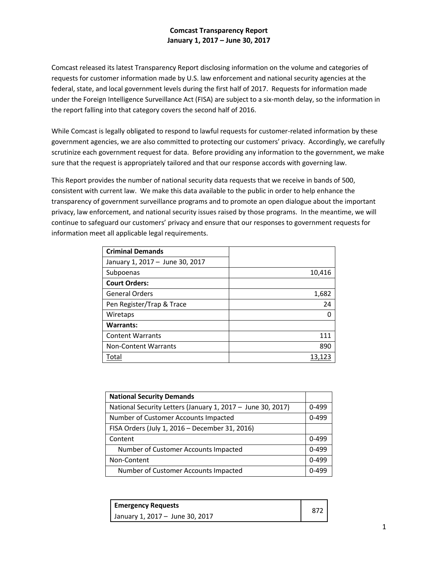## **Comcast Transparency Report January 1, 2017 – June 30, 2017**

Comcast released its latest Transparency Report disclosing information on the volume and categories of requests for customer information made by U.S. law enforcement and national security agencies at the federal, state, and local government levels during the first half of 2017. Requests for information made under the Foreign Intelligence Surveillance Act (FISA) are subject to a six-month delay, so the information in the report falling into that category covers the second half of 2016.

While Comcast is legally obligated to respond to lawful requests for customer-related information by these government agencies, we are also committed to protecting our customers' privacy. Accordingly, we carefully scrutinize each government request for data. Before providing any information to the government, we make sure that the request is appropriately tailored and that our response accords with governing law.

This Report provides the number of national security data requests that we receive in bands of 500, consistent with current law. We make this data available to the public in order to help enhance the transparency of government surveillance programs and to promote an open dialogue about the important privacy, law enforcement, and national security issues raised by those programs. In the meantime, we will continue to safeguard our customers' privacy and ensure that our responses to government requests for information meet all applicable legal requirements.

| <b>Criminal Demands</b>         |        |
|---------------------------------|--------|
| January 1, 2017 - June 30, 2017 |        |
| Subpoenas                       | 10,416 |
| <b>Court Orders:</b>            |        |
| <b>General Orders</b>           | 1,682  |
| Pen Register/Trap & Trace       | 24     |
| Wiretaps                        |        |
| <b>Warrants:</b>                |        |
| <b>Content Warrants</b>         | 111    |
| <b>Non-Content Warrants</b>     | 890    |
| Total                           | 13,123 |

| <b>National Security Demands</b>                            |  |
|-------------------------------------------------------------|--|
| National Security Letters (January 1, 2017 - June 30, 2017) |  |
| Number of Customer Accounts Impacted                        |  |
| FISA Orders (July 1, 2016 - December 31, 2016)              |  |
| Content                                                     |  |
| Number of Customer Accounts Impacted                        |  |
| Non-Content                                                 |  |
| Number of Customer Accounts Impacted                        |  |

| <b>Emergency Requests</b>       |  |
|---------------------------------|--|
| January 1, 2017 - June 30, 2017 |  |